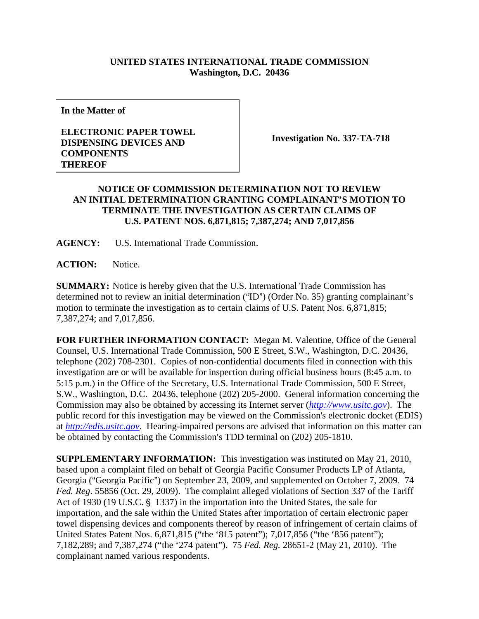## **UNITED STATES INTERNATIONAL TRADE COMMISSION Washington, D.C. 20436**

**In the Matter of** 

## **ELECTRONIC PAPER TOWEL DISPENSING DEVICES AND COMPONENTS THEREOF**

**Investigation No. 337-TA-718** 

## **NOTICE OF COMMISSION DETERMINATION NOT TO REVIEW AN INITIAL DETERMINATION GRANTING COMPLAINANT'S MOTION TO TERMINATE THE INVESTIGATION AS CERTAIN CLAIMS OF U.S. PATENT NOS. 6,871,815; 7,387,274; AND 7,017,856**

**AGENCY:** U.S. International Trade Commission.

**ACTION:** Notice.

**SUMMARY:** Notice is hereby given that the U.S. International Trade Commission has determined not to review an initial determination ("ID") (Order No. 35) granting complainant's motion to terminate the investigation as to certain claims of U.S. Patent Nos. 6,871,815; 7,387,274; and 7,017,856.

**FOR FURTHER INFORMATION CONTACT:** Megan M. Valentine, Office of the General Counsel, U.S. International Trade Commission, 500 E Street, S.W., Washington, D.C. 20436, telephone (202) 708-2301. Copies of non-confidential documents filed in connection with this investigation are or will be available for inspection during official business hours (8:45 a.m. to 5:15 p.m.) in the Office of the Secretary, U.S. International Trade Commission, 500 E Street, S.W., Washington, D.C. 20436, telephone (202) 205-2000. General information concerning the Commission may also be obtained by accessing its Internet server (*http://www.usitc.gov*). The public record for this investigation may be viewed on the Commission's electronic docket (EDIS) at *http://edis.usitc.gov*. Hearing-impaired persons are advised that information on this matter can be obtained by contacting the Commission's TDD terminal on (202) 205-1810.

**SUPPLEMENTARY INFORMATION:** This investigation was instituted on May 21, 2010, based upon a complaint filed on behalf of Georgia Pacific Consumer Products LP of Atlanta, Georgia ("Georgia Pacific") on September 23, 2009, and supplemented on October 7, 2009. 74 *Fed. Reg*. 55856 (Oct. 29, 2009). The complaint alleged violations of Section 337 of the Tariff Act of 1930 (19 U.S.C. § 1337) in the importation into the United States, the sale for importation, and the sale within the United States after importation of certain electronic paper towel dispensing devices and components thereof by reason of infringement of certain claims of United States Patent Nos. 6,871,815 ("the '815 patent"); 7,017,856 ("the '856 patent"); 7,182,289; and 7,387,274 ("the '274 patent"). 75 *Fed. Reg.* 28651-2 (May 21, 2010). The complainant named various respondents.